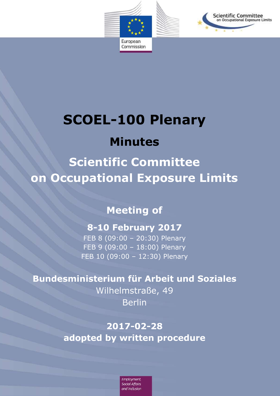

# **SCOEL-100 Plenary**

# **Minutes**

**Scientific Committee on Occupational Exposure Limits**

**Meeting of** 

### **8-10 February 2017**

FEB 8 (09:00 – 20:30) Plenary FEB 9 (09:00 – 18:00) Plenary FEB 10 (09:00 – 12:30) Plenary

# **Bundesministerium für Arbeit und Soziales**

Wilhelmstraße, 49 Berlin

**2017-02-28 adopted by written procedure**

> Employment. **Social Affairs** and Inclusion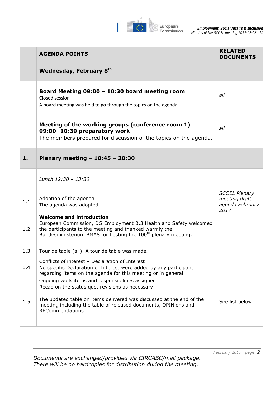

|     | <b>AGENDA POINTS</b>                                                                                                                                                                                                                                               | <b>RELATED</b><br><b>DOCUMENTS</b>                               |
|-----|--------------------------------------------------------------------------------------------------------------------------------------------------------------------------------------------------------------------------------------------------------------------|------------------------------------------------------------------|
|     | Wednesday, February 8th                                                                                                                                                                                                                                            |                                                                  |
|     | Board Meeting $09:00 - 10:30$ board meeting room<br>Closed session<br>A board meeting was held to go through the topics on the agenda.                                                                                                                             | all                                                              |
|     | Meeting of the working groups (conference room 1)<br>09:00 -10:30 preparatory work<br>The members prepared for discussion of the topics on the agenda.                                                                                                             | all                                                              |
| 1.  | Plenary meeting - $10:45 - 20:30$                                                                                                                                                                                                                                  |                                                                  |
|     | Lunch 12:30 - 13:30                                                                                                                                                                                                                                                |                                                                  |
| 1.1 | Adoption of the agenda<br>The agenda was adopted.                                                                                                                                                                                                                  | <b>SCOEL Plenary</b><br>meeting draft<br>agenda February<br>2017 |
| 1.2 | <b>Welcome and introduction</b><br>European Commission, DG Employment B.3 Health and Safety welcomed<br>the participants to the meeting and thanked warmly the<br>Bundesministerium BMAS for hosting the 100 <sup>th</sup> plenary meeting.                        |                                                                  |
| 1.3 | Tour de table (all). A tour de table was made.                                                                                                                                                                                                                     |                                                                  |
| 1.4 | Conflicts of interest - Declaration of Interest<br>No specific Declaration of Interest were added by any participant<br>regarding items on the agenda for this meeting or in general.                                                                              |                                                                  |
| 1.5 | Ongoing work items and responsibilities assigned<br>Recap on the status quo, revisions as necessary<br>The updated table on items delivered was discussed at the end of the<br>meeting including the table of released documents, OPINions and<br>RECommendations. | See list below                                                   |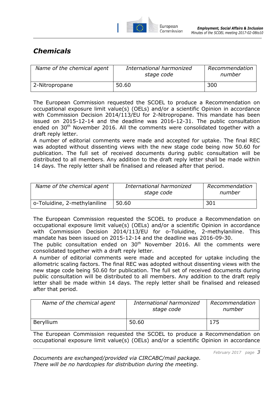

#### *Chemicals*

| Name of the chemical agent | International harmonized<br>stage code | Recommendation<br>number |
|----------------------------|----------------------------------------|--------------------------|
| 2-Nitropropane             | 50.60                                  | 300                      |

The European Commission requested the SCOEL to produce a Recommendation on occupational exposure limit value(s) (OELs) and/or a scientific Opinion in accordance with Commission Decision 2014/113/EU for 2-Nitropropane. This mandate has been issued on 2015-12-14 and the deadline was 2016-12-31. The public consultation ended on 30<sup>th</sup> November 2016. All the comments were consolidated together with a draft reply letter.

A number of editorial comments were made and accepted for uptake. The final REC was adopted without dissenting views with the new stage code being now 50.60 for publication. The full set of received documents during public consultation will be distributed to all members. Any addition to the draft reply letter shall be made within 14 days. The reply letter shall be finalised and released after that period.

| Name of the chemical agent   | International harmonized<br>stage code | Recommendation<br>number |
|------------------------------|----------------------------------------|--------------------------|
| o-Toluidine, 2-methylaniline | 50.60                                  | 301                      |

The European Commission requested the SCOEL to produce a Recommendation on occupational exposure limit value(s) (OELs) and/or a scientific Opinion in accordance with Commission Decision 2014/113/EU for o-Toluidine, 2-methylaniline. This mandate has been issued on 2015-12-14 and the deadline was 2016-09-30.

The public consultation ended on  $30<sup>th</sup>$  November 2016. All the comments were consolidated together with a draft reply letter.

A number of editorial comments were made and accepted for uptake including the allometric scaling factors. The final REC was adopted without dissenting views with the new stage code being 50.60 for publication. The full set of received documents during public consultation will be distributed to all members. Any addition to the draft reply letter shall be made within 14 days. The reply letter shall be finalised and released after that period.

| Name of the chemical agent | International harmonized<br>stage code | Recommendation<br>number |
|----------------------------|----------------------------------------|--------------------------|
| Beryllium                  | 50.60                                  | 175                      |

The European Commission requested the SCOEL to produce a Recommendation on occupational exposure limit value(s) (OELs) and/or a scientific Opinion in accordance

*February 2017 page 3*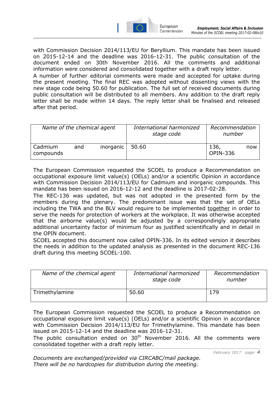

with Commission Decision 2014/113/EU for Beryllium. This mandate has been issued on 2015-12-14 and the deadline was 2016-12-31. The public consultation of the document ended on 30th November 2016. All the comments and additional information were considered and consolidated together with a draft reply letter.

A number of further editorial comments were made and accepted for uptake during the present meeting. The final REC was adopted without dissenting views with the new stage code being 50.60 for publication. The full set of received documents during public consultation will be distributed to all members. Any addition to the draft reply letter shall be made within 14 days. The reply letter shall be finalised and released after that period.

| Name of the chemical agent |     |           | International harmonized<br>stage code | Recommendation<br>number |     |
|----------------------------|-----|-----------|----------------------------------------|--------------------------|-----|
| Cadmium<br>compounds       | and | inorganic | 50.60                                  | 136,<br><b>OPIN-336</b>  | now |

The European Commission requested the SCOEL to produce a Recommendation on occupational exposure limit value(s) (OELs) and/or a scientific Opinion in accordance with Commission Decision 2014/113/EU for Cadmium and inorganic compounds. This mandate has been issued on 2016-12-12 and the deadline is 2017-02-28.

The REC-136 was updated, but was not adopted in the presented form by the members during the plenary. The predominant issue was that the set of OELs including the TWA and the BLV would require to be implemented together in order to serve the needs for protection of workers at the workplace. It was otherwise accepted that the airborne value(s) would be adjusted by a correspondingly appropriate additional uncertainty factor of minimum four as justified scientifically and in detail in the OPIN document.

SCOEL accepted this document now called OPIN-336. In its edited version it describes the needs in addition to the updated analysis as presented in the document REC-136 draft during this meeting SCOEL-100.

| Name of the chemical agent | International harmonized<br>stage code | Recommendation<br>number |
|----------------------------|----------------------------------------|--------------------------|
| Trimethylamine             | 50.60                                  | 179                      |

The European Commission requested the SCOEL to produce a Recommendation on occupational exposure limit value(s) (OELs) and/or a scientific Opinion in accordance with Commission Decision 2014/113/EU for Trimethylamine. This mandate has been issued on 2015-12-14 and the deadline was 2016-12-31.

The public consultation ended on  $30<sup>th</sup>$  November 2016. All the comments were consolidated together with a draft reply letter.

*February 2017 page 4*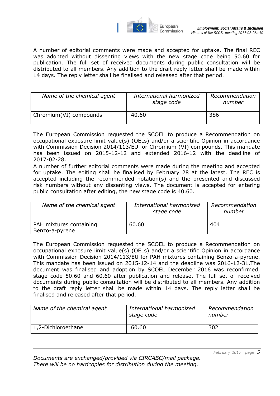

A number of editorial comments were made and accepted for uptake. The final REC was adopted without dissenting views with the new stage code being 50.60 for publication. The full set of received documents during public consultation will be distributed to all members. Any addition to the draft reply letter shall be made within 14 days. The reply letter shall be finalised and released after that period.

| Name of the chemical agent | International harmonized<br>stage code | Recommendation<br>number |
|----------------------------|----------------------------------------|--------------------------|
| Chromium(VI) compounds     | 40.60                                  | 386                      |

The European Commission requested the SCOEL to produce a Recommendation on occupational exposure limit value(s) (OELs) and/or a scientific Opinion in accordance with Commission Decision 2014/113/EU for Chromium (VI) compounds. This mandate has been issued on 2015-12-12 and extended 2016-12 with the deadline of 2017-02-28.

A number of further editorial comments were made during the meeting and accepted for uptake. The editing shall be finalised by February 28 at the latest. The REC is accepted including the recommended notation(s) and the presented and discussed risk numbers without any dissenting views. The document is accepted for entering public consultation after editing, the new stage code is 40.60.

| Name of the chemical agent                | International harmonized<br>stage code | Recommendation<br>number |
|-------------------------------------------|----------------------------------------|--------------------------|
| PAH mixtures containing<br>Benzo-a-pyrene | 60.60                                  | 404                      |

The European Commission requested the SCOEL to produce a Recommendation on occupational exposure limit value(s) (OELs) and/or a scientific Opinion in accordance with Commission Decision 2014/113/EU for PAH mixtures containing Benzo-a-pyrene. This mandate has been issued on 2015-12-14 and the deadline was 2016-12-31.The document was finalised and adoption by SCOEL December 2016 was reconfirmed, stage code 50.60 and 60.60 after publication and release. The full set of received documents during public consultation will be distributed to all members. Any addition to the draft reply letter shall be made within 14 days. The reply letter shall be finalised and released after that period.

| Name of the chemical agent | International harmonized<br>stage code | Recommendation<br>number |
|----------------------------|----------------------------------------|--------------------------|
| 1,2-Dichloroethane         | 60.60                                  | 302                      |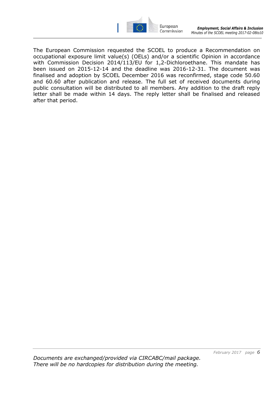

The European Commission requested the SCOEL to produce a Recommendation on occupational exposure limit value(s) (OELs) and/or a scientific Opinion in accordance with Commission Decision 2014/113/EU for 1,2-Dichloroethane. This mandate has been issued on 2015-12-14 and the deadline was 2016-12-31. The document was finalised and adoption by SCOEL December 2016 was reconfirmed, stage code 50.60 and 60.60 after publication and release. The full set of received documents during public consultation will be distributed to all members. Any addition to the draft reply letter shall be made within 14 days. The reply letter shall be finalised and released after that period.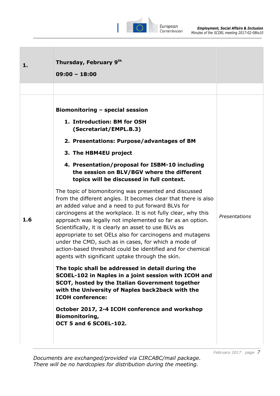

| 1.  | Thursday, February 9th<br>$09:00 - 18:00$                                                                                                                                                                                                                                                                                                                                                                                                                                                                                                                                                                                                                                                                                                                                                                 |               |
|-----|-----------------------------------------------------------------------------------------------------------------------------------------------------------------------------------------------------------------------------------------------------------------------------------------------------------------------------------------------------------------------------------------------------------------------------------------------------------------------------------------------------------------------------------------------------------------------------------------------------------------------------------------------------------------------------------------------------------------------------------------------------------------------------------------------------------|---------------|
| 1.6 | Biomonitoring - special session<br>1. Introduction: BM for OSH<br>(Secretariat/EMPL.B.3)<br>2. Presentations: Purpose/advantages of BM<br>3. The HBM4EU project<br>4. Presentation/proposal for ISBM-10 including<br>the session on BLV/BGV where the different<br>topics will be discussed in full context.<br>The topic of biomonitoring was presented and discussed<br>from the different angles. It becomes clear that there is also<br>an added value and a need to put forward BLVs for<br>carcinogens at the workplace. It is not fully clear, why this<br>approach was legally not implemented so far as an option.<br>Scientifically, it is clearly an asset to use BLVs as<br>appropriate to set OELs also for carcinogens and mutagens<br>under the CMD, such as in cases, for which a mode of | Presentations |
|     | action-based threshold could be identified and for chemical<br>agents with significant uptake through the skin.<br>The topic shall be addressed in detail during the<br>SCOEL-102 in Naples in a joint session with ICOH and<br>SCOT, hosted by the Italian Government together<br>with the University of Naples back2back with the<br><b>ICOH conference:</b><br>October 2017, 2-4 ICOH conference and workshop<br><b>Biomonitoring,</b><br>OCT 5 and 6 SCOEL-102.                                                                                                                                                                                                                                                                                                                                       |               |

*Documents are exchanged/provided via CIRCABC/mail package. There will be no hardcopies for distribution during the meeting.*

*February 2017 page 7*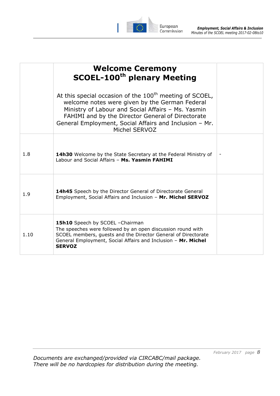

|      | <b>Welcome Ceremony</b><br><b>SCOEL-100th plenary Meeting</b>                                                                                                                                                                                                                                     |  |
|------|---------------------------------------------------------------------------------------------------------------------------------------------------------------------------------------------------------------------------------------------------------------------------------------------------|--|
|      | At this special occasion of the $100th$ meeting of SCOEL,<br>welcome notes were given by the German Federal<br>Ministry of Labour and Social Affairs - Ms. Yasmin<br>FAHIMI and by the Director General of Directorate<br>General Employment, Social Affairs and Inclusion - Mr.<br>Michel SERVOZ |  |
| 1.8  | 14h30 Welcome by the State Secretary at the Federal Ministry of<br>Labour and Social Affairs - Ms. Yasmin FAHIMI                                                                                                                                                                                  |  |
| 1.9  | 14h45 Speech by the Director General of Directorate General<br>Employment, Social Affairs and Inclusion - Mr. Michel SERVOZ                                                                                                                                                                       |  |
| 1.10 | 15h10 Speech by SCOEL - Chairman<br>The speeches were followed by an open discussion round with<br>SCOEL members, guests and the Director General of Directorate<br>General Employment, Social Affairs and Inclusion - Mr. Michel<br><b>SERVOZ</b>                                                |  |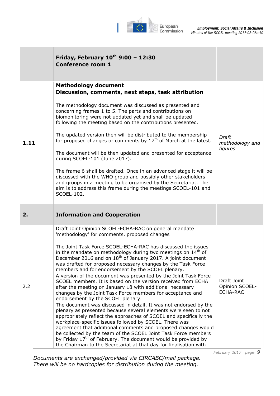

|      | Friday, February $10^{th}$ 9:00 - 12:30<br><b>Conference room 1</b>                                                                                                                                                                                                                                                                                                                                                                                                                                                                                                                                                                                                                                                                                                                                                                                                                                                                                                                                                                                                                                                                                                                                                                                                                                             |                                                  |
|------|-----------------------------------------------------------------------------------------------------------------------------------------------------------------------------------------------------------------------------------------------------------------------------------------------------------------------------------------------------------------------------------------------------------------------------------------------------------------------------------------------------------------------------------------------------------------------------------------------------------------------------------------------------------------------------------------------------------------------------------------------------------------------------------------------------------------------------------------------------------------------------------------------------------------------------------------------------------------------------------------------------------------------------------------------------------------------------------------------------------------------------------------------------------------------------------------------------------------------------------------------------------------------------------------------------------------|--------------------------------------------------|
| 1.11 | <b>Methodology document</b><br>Discussion, comments, next steps, task attribution<br>The methodology document was discussed as presented and<br>concerning frames 1 to 5. The parts and contributions on<br>biomonitoring were not updated yet and shall be updated<br>following the meeting based on the contributions presented.<br>The updated version then will be distributed to the membership<br>for proposed changes or comments by $17th$ of March at the latest.<br>The document will be then updated and presented for acceptance<br>during SCOEL-101 (June 2017).<br>The frame 6 shall be drafted. Once in an advanced stage it will be<br>discussed with the WHO group and possibly other stakeholders<br>and groups in a meeting to be organised by the Secretariat. The<br>aim is to address this frame during the meetings SCOEL-101 and<br>SCOEL-102.                                                                                                                                                                                                                                                                                                                                                                                                                                          | Draft<br>methodology and<br>figures              |
| 2.   | <b>Information and Cooperation</b>                                                                                                                                                                                                                                                                                                                                                                                                                                                                                                                                                                                                                                                                                                                                                                                                                                                                                                                                                                                                                                                                                                                                                                                                                                                                              |                                                  |
| 2.2  | Draft Joint Opinion SCOEL-ECHA-RAC on general mandate<br>'methodology' for comments, proposed changes<br>The Joint Task Force SCOEL-ECHA-RAC has discussed the issues<br>in the mandate on methodology during two meetings on 14 <sup>th</sup> of<br>December 2016 and on 18 <sup>th</sup> of January 2017. A joint document<br>was drafted for proposed necessary changes by the Task Force<br>members and for endorsement by the SCOEL plenary.<br>A version of the document was presented by the Joint Task Force<br>SCOEL members. It is based on the version received from ECHA<br>after the meeting on January 18 with additional necessary<br>changes by the Joint Task Force members for acceptance and<br>endorsement by the SCOEL plenary.<br>The document was discussed in detail. It was not endorsed by the<br>plenary as presented because several elements were seen to not<br>appropriately reflect the approaches of SCOEL and specifically the<br>workplace-specific issues followed by SCOEL. There was<br>agreement that additional comments and proposed changes would<br>be collected by the team of the SCOEL Joint Task Force members<br>by Friday 17 <sup>th</sup> of February. The document would be provided by<br>the Chairman to the Secretariat at that day for finalisation with | Draft Joint<br>Opinion SCOEL-<br><b>ECHA-RAC</b> |

*Documents are exchanged/provided via CIRCABC/mail package. There will be no hardcopies for distribution during the meeting.*

*February 2017 page 9*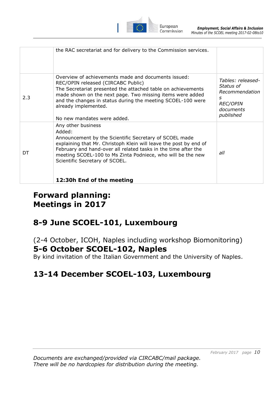

|     | the RAC secretariat and for delivery to the Commission services.                                                                                                                                                                                                                                                                                            |                                                                                                    |
|-----|-------------------------------------------------------------------------------------------------------------------------------------------------------------------------------------------------------------------------------------------------------------------------------------------------------------------------------------------------------------|----------------------------------------------------------------------------------------------------|
| 2.3 | Overview of achievements made and documents issued:<br>REC/OPIN released (CIRCABC Public)<br>The Secretariat presented the attached table on achievements<br>made shown on the next page. Two missing items were added<br>and the changes in status during the meeting SCOEL-100 were<br>already implemented.<br>No new mandates were added.                | Tables: released-<br>Status of<br>Recommendation<br>S<br><b>REC/OPIN</b><br>documents<br>published |
| DT  | Any other business<br>Added:<br>Announcement by the Scientific Secretary of SCOEL made<br>explaining that Mr. Christoph Klein will leave the post by end of<br>February and hand-over all related tasks in the time after the<br>meeting SCOEL-100 to Ms Zinta Podniece, who will be the new<br>Scientific Secretary of SCOEL.<br>12:30h End of the meeting | all                                                                                                |

# **Forward planning: Meetings in 2017**

# **8-9 June SCOEL-101, Luxembourg**

(2-4 October, ICOH, Naples including workshop Biomonitoring) **5-6 October SCOEL-102, Naples** 

By kind invitation of the Italian Government and the University of Naples.

# **13-14 December SCOEL-103, Luxembourg**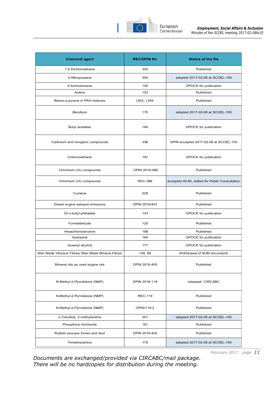

| <b>Chemical agent</b>                             | <b>REC/OPIN No</b> | <b>Status of the file</b>                      |  |  |
|---------------------------------------------------|--------------------|------------------------------------------------|--|--|
| 1.2-Dichloroethane                                | 302                | Published                                      |  |  |
| 2-Nitropropane                                    | 300                | adopted 2017-02-08 at SCOEL-100                |  |  |
| 4-Aminotoluene                                    | 145                | OPOCE for publication                          |  |  |
| Aniline                                           | 153                | Published                                      |  |  |
| Benzo-a-pyrene in PAH mixtures                    | (303, ) 404        | Published                                      |  |  |
| Beryllium                                         | 175                | adopted 2017-02-08 at SCOEL-100                |  |  |
| <b>Butyl acetates</b>                             | 184                | OPOCE for publication                          |  |  |
| Cadmium and inorganic compounds                   | 336                | OPIN accepted 2017-02-08 at SCOEL-100          |  |  |
| Chloromethane                                     | 191                | OPOCE for publication                          |  |  |
| Chromium (VI) compounds                           | OPIN 2016-086      | Published                                      |  |  |
| Chromium (VI) compounds                           | <b>REC-386</b>     | accepted 40.60, edited for Public Consultation |  |  |
| Cumene                                            | 029                | Published                                      |  |  |
| Diesel engine exhaust emissions                   | OPIN 2016/403      | Published                                      |  |  |
| Di-n-butyl-phthalate                              | 143                | OPOCE for publication                          |  |  |
| Formaldehyde                                      | 125                | Published                                      |  |  |
| Hexachlorobenzene                                 | 188                | Published                                      |  |  |
| Hydrazine                                         | 164                | OPOCE for publication                          |  |  |
| Isoamyl alcohol                                   | 177                | OPOCE for publication                          |  |  |
| Man Made Vitreous Fibres/ Man Made Mineral Fibres | 108, 88            | Withdrawal of SUM documents                    |  |  |
| Mineral oils as used engine oils                  | OPIN 2016-405      | Published                                      |  |  |
| N-Methyl-2-Pyrrolidone (NMP)                      | OPIN 2016-119      | released- CIRCABC                              |  |  |
| N-Methyl-2-Pyrrolidone (NMP)                      | <b>REC-119</b>     | Published                                      |  |  |
| N-Methyl-2-Pyrrolidone (NMP)                      | OPIN/119-2         | Published                                      |  |  |
| o-Toluidine, 2-methylaniline                      | 301                | adopted 2017-02-08 at SCOEL-100                |  |  |
| Phosphoryl trichloride                            | 181                | Published                                      |  |  |
| Rubber process fumes and dust                     | OPIN 2016-402      | Published                                      |  |  |
| Trimethylamine                                    | 179                | adopted 2017-02-08 at SCOEL-100                |  |  |

*February 2017 page 11*

*Documents are exchanged/provided via CIRCABC/mail package.*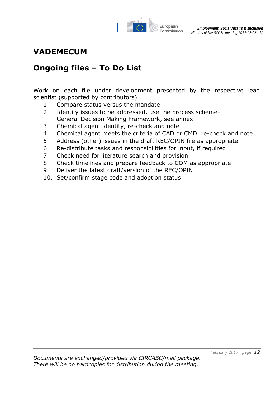

### **VADEMECUM**

## **Ongoing files – To Do List**

Work on each file under development presented by the respective lead scientist (supported by contributors)

- 1. Compare status versus the mandate
- 2. Identify issues to be addressed, use the process scheme-General Decision Making Framework, see annex
- 3. Chemical agent identity, re-check and note
- 4. Chemical agent meets the criteria of CAD or CMD, re-check and note
- 5. Address (other) issues in the draft REC/OPIN file as appropriate
- 6. Re-distribute tasks and responsibilities for input, if required
- 7. Check need for literature search and provision
- 8. Check timelines and prepare feedback to COM as appropriate
- 9. Deliver the latest draft/version of the REC/OPIN
- 10. Set/confirm stage code and adoption status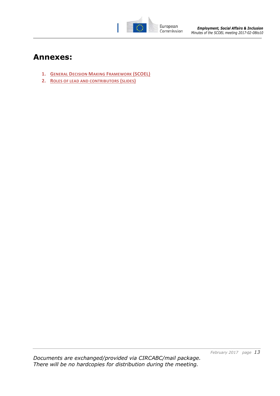

### **Annexes:**

- **1. GENERAL DECISION MAKING FRAMEWORK (SCOEL)**
- **2. ROLES OF LEAD AND CONTRIBUTORS (SLIDES)**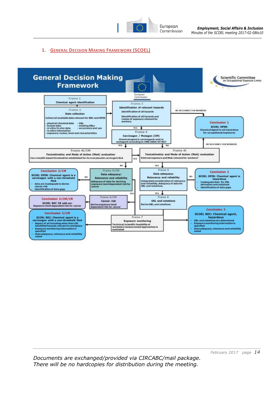

#### **1. GENERAL DECISION MAKING FRAMEWORK (SCOEL)**

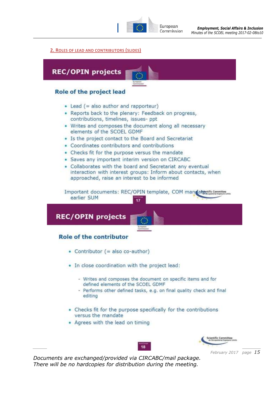

#### **2. ROLES OF LEAD AND CONTRIBUTORS (SLIDES)**



*February 2017 page 15*

*Documents are exchanged/provided via CIRCABC/mail package. There will be no hardcopies for distribution during the meeting.*